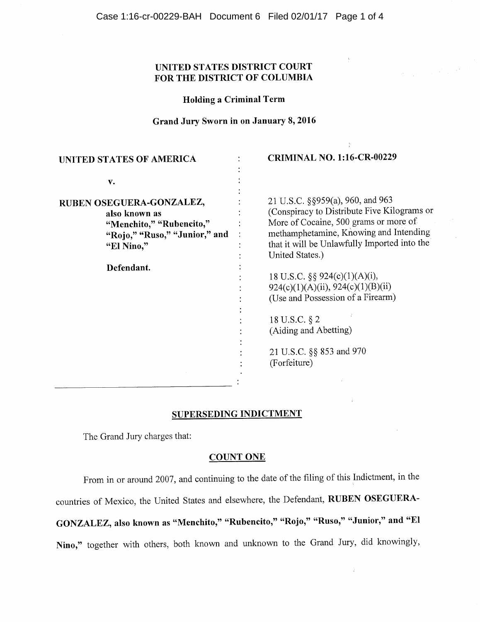# **UNITED STATES DISTRICT COURT FOR THE DISTRICT OF COLUMBIA**

**Holding a Criminal Term** 

## **Grand Jury Sworn in on January 8, 2016**

 $\ddot{\cdot}$ ÷

 $\ddot{\cdot}$ 

 $\ddot{\cdot}$  $\ddot{\cdot}$ 

# **UNITED STATES OF AMERICA CRIMINAL NO. 1:16-CR-00229**

V.

**RUBEN OSEGUERA-GONZALEZ, also known as "Menchito," "Rubencito," "Rojo," "Ruso," "Junior," and "El Nino,"** 

**Defendant.** 

21 U.S.C. §§959(a), 960, and 963 (Conspiracy to Distribute Five Kilograms or More of Cocaine, 500 grams or more of methamphetamine, Knowing and Intending that it will be Unlawfully Imported into the United States.)

18 U.S.C. §§ 924(c)(1)(A)(i), 924(c)(1)(A)(ii), 924(c)(1)(B)(ii) (Use and Possession of a Firearm)

18 U.S.C. §2 (Aiding and Abetting)

21 U.S.C. §§ 853 and 970 (Forfeiture)

## **SUPERSEDING INDICTMENT**

The Grand Jury charges that:

## **COUNT ONE**

From in or around 2007, and continuing to the date of the filing of this Indictment, in the countries of Mexico, the United States and elsewhere, the Defendant, **RUBEN OSEGUERA-GONZALEZ, also known as "Menchito," "Rubencito," "Rojo," "Ruso," "Junior," and "El Nino,"** together with others, both known and unknown to the Grand Jury, did knowingly,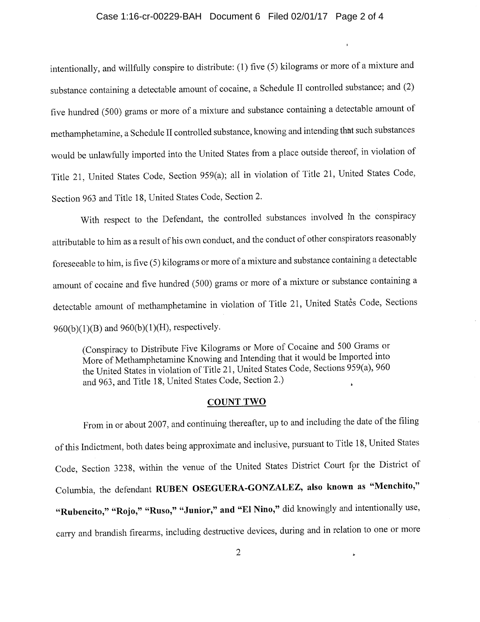#### Case 1:16-cr-00229-BAH Document 6 Filed 02/01/17 Page 2 of 4

intentionally, and willfully conspire to distribute: (1) five (5) kilograms or more of a mixture and substance containing a detectable amount of cocaine, a Schedule II controlled substance; and (2) five hundred (500) grams or more of a mixture and substance containing a detectable amount of methamphetamine, a Schedule II controlled substance, knowing and intending that such substances would be unlawfully imported into the United States from a place outside thereof, in violation of Title 21, United States Code, Section 959(a); all in violation of Title 21, United States Code, Section 963 and Title 18, United States Code, Section 2.

With respect to the Defendant, the controlled substances involved in the conspiracy attributable to him as a result of his own conduct, and the conduct of other conspirators reasonably foreseeable to him, is five (5) kilograms or more of a mixture and substance containing a detectable amount of cocaine and five hundred (500) grams or more of a mixture or substance containing a detectable amount of methamphetamine in violation of Title 21, United States Code, Sections 960(b)(1)(B) and 960(b)(1)(H), respectively.

(Conspiracy to Distribute Five Kilograms or More of Cocaine and 500 Grams or More of Methamphetamine Knowing and Intending that it would be Imported into the United States in violation of Title 21, United States Code, Sections 959(a), 960 and 963, and Title 18, United States Code, Section 2.)

#### **COUNT TWO**

From in or about 2007, and continuing thereafter, up to and including the date of the filing of this Indictment, both dates being approximate and inclusive, pursuant to Title 18, United States Code, Section 3238, within the venue of the United States District Court for the District of Columbia, the defendant **RUBEN OSEGUERA-GONZALEZ, also known as "Menchito," "Rubencito," "Rojo," "Ruso," "Junior," and "El Nino,"** did knowingly and intentionally use, carry and brandish firearms, including destructive devices, during and in relation to one or more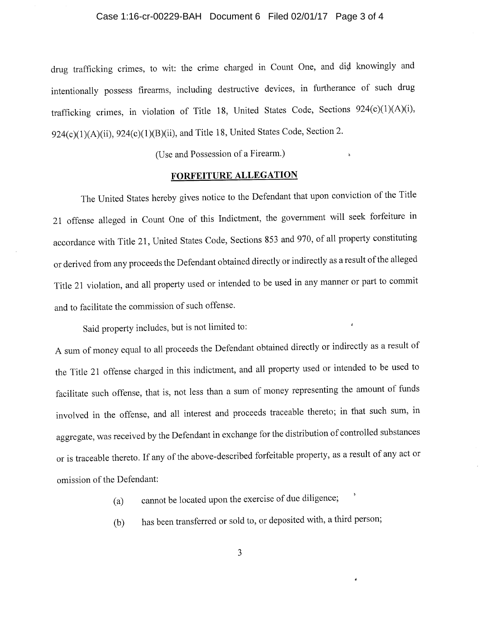#### Case 1:16-cr-00229-BAH Document 6 Filed 02/01/17 Page 3 of 4

drug trafficking crimes, to wit: the crime charged in Count One, and did knowingly and intentionally possess firearms, including destructive devices, in furtherance of such drug trafficking crimes, in violation of Title 18, United States Code, Sections 924(c)(1)(A)(i),  $924(c)(1)(A)(ii)$ ,  $924(c)(1)(B)(ii)$ , and Title 18, United States Code, Section 2.

(Use and Possession of a Firearm.)

## FORFEITURE ALLEGATION

The United States hereby gives notice to the Defendant that upon conviction of the Title 21 offense alleged in Count One of this Indictment, the government will seek forfeiture in accordance with Title 21, United States Code, Sections 853 and 970, of all property constituting or derived from any proceeds the Defendant obtained directly or indirectly as a result of the alleged Title 21 violation, and all property used or intended to be used in any manner or part to commit and to facilitate the commission of such offense.

Said property includes, but is not limited to:

A sum of money equal to all proceeds the Defendant obtained directly or indirectly as a result of the Title 21 offense charged in this indictment, and all property used or intended to be used to facilitate such offense, that is, not less than a sum of money representing the amount of funds involved in the offense, and all interest and proceeds traceable thereto; in that such sum, in aggregate, was received by the Defendant in exchange for the distribution of controlled substances or is traceable thereto. If any of the above-described forfeitable property, as a result of any act or omission of the Defendant:

(a) cannot be located upon the exercise of due diligence;

(b) has been transferred or sold to, or deposited with, a third person;

 $\ddot{\bullet}$